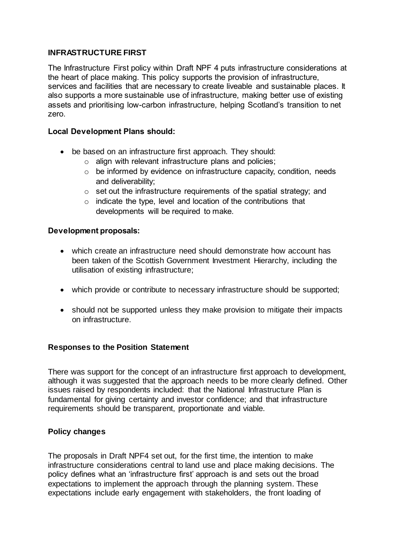# **INFRASTRUCTURE FIRST**

The Infrastructure First policy within Draft NPF 4 puts infrastructure considerations at the heart of place making. This policy supports the provision of infrastructure, services and facilities that are necessary to create liveable and sustainable places. It also supports a more sustainable use of infrastructure, making better use of existing assets and prioritising low-carbon infrastructure, helping Scotland's transition to net zero.

## **Local Development Plans should:**

- be based on an infrastructure first approach. They should:
	- o align with relevant infrastructure plans and policies;
	- o be informed by evidence on infrastructure capacity, condition, needs and deliverability;
	- $\circ$  set out the infrastructure requirements of the spatial strategy; and
	- $\circ$  indicate the type, level and location of the contributions that developments will be required to make.

### **Development proposals:**

- which create an infrastructure need should demonstrate how account has been taken of the Scottish Government Investment Hierarchy, including the utilisation of existing infrastructure;
- which provide or contribute to necessary infrastructure should be supported;
- should not be supported unless they make provision to mitigate their impacts on infrastructure.

### **Responses to the Position Statement**

There was support for the concept of an infrastructure first approach to development, although it was suggested that the approach needs to be more clearly defined. Other issues raised by respondents included: that the National Infrastructure Plan is fundamental for giving certainty and investor confidence; and that infrastructure requirements should be transparent, proportionate and viable.

### **Policy changes**

The proposals in Draft NPF4 set out, for the first time, the intention to make infrastructure considerations central to land use and place making decisions. The policy defines what an 'infrastructure first' approach is and sets out the broad expectations to implement the approach through the planning system. These expectations include early engagement with stakeholders, the front loading of